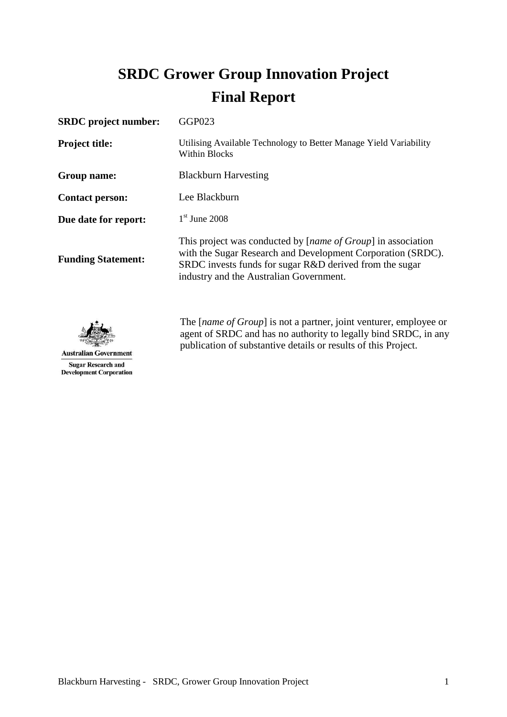# **SRDC Grower Group Innovation Project Final Report**

| GGP023                                                                                                                                                                                                                                     |
|--------------------------------------------------------------------------------------------------------------------------------------------------------------------------------------------------------------------------------------------|
| Utilising Available Technology to Better Manage Yield Variability<br><b>Within Blocks</b>                                                                                                                                                  |
| <b>Blackburn Harvesting</b>                                                                                                                                                                                                                |
| Lee Blackburn                                                                                                                                                                                                                              |
| $1st$ June 2008                                                                                                                                                                                                                            |
| This project was conducted by [ <i>name of Group</i> ] in association<br>with the Sugar Research and Development Corporation (SRDC).<br>SRDC invests funds for sugar R&D derived from the sugar<br>industry and the Australian Government. |
|                                                                                                                                                                                                                                            |



The [*name of Group*] is not a partner, joint venturer, employee or agent of SRDC and has no authority to legally bind SRDC, in any publication of substantive details or results of this Project.

**Australian Government Sugar Research and Development Corporation**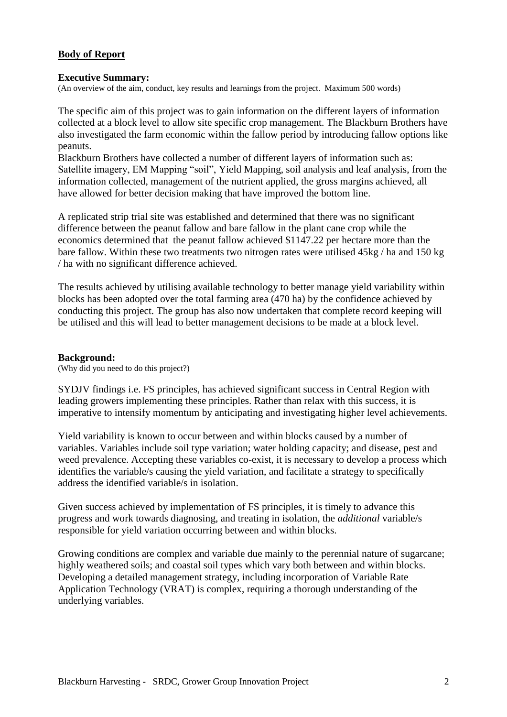# **Body of Report**

#### **Executive Summary:**

(An overview of the aim, conduct, key results and learnings from the project. Maximum 500 words)

The specific aim of this project was to gain information on the different layers of information collected at a block level to allow site specific crop management. The Blackburn Brothers have also investigated the farm economic within the fallow period by introducing fallow options like peanuts.

Blackburn Brothers have collected a number of different layers of information such as: Satellite imagery, EM Mapping "soil", Yield Mapping, soil analysis and leaf analysis, from the information collected, management of the nutrient applied, the gross margins achieved, all have allowed for better decision making that have improved the bottom line.

A replicated strip trial site was established and determined that there was no significant difference between the peanut fallow and bare fallow in the plant cane crop while the economics determined that the peanut fallow achieved \$1147.22 per hectare more than the bare fallow. Within these two treatments two nitrogen rates were utilised 45kg / ha and 150 kg / ha with no significant difference achieved.

The results achieved by utilising available technology to better manage yield variability within blocks has been adopted over the total farming area (470 ha) by the confidence achieved by conducting this project. The group has also now undertaken that complete record keeping will be utilised and this will lead to better management decisions to be made at a block level.

#### **Background:**

(Why did you need to do this project?)

SYDJV findings i.e. FS principles, has achieved significant success in Central Region with leading growers implementing these principles. Rather than relax with this success, it is imperative to intensify momentum by anticipating and investigating higher level achievements.

Yield variability is known to occur between and within blocks caused by a number of variables. Variables include soil type variation; water holding capacity; and disease, pest and weed prevalence. Accepting these variables co-exist, it is necessary to develop a process which identifies the variable/s causing the yield variation, and facilitate a strategy to specifically address the identified variable/s in isolation.

Given success achieved by implementation of FS principles, it is timely to advance this progress and work towards diagnosing, and treating in isolation, the *additional* variable/s responsible for yield variation occurring between and within blocks.

Growing conditions are complex and variable due mainly to the perennial nature of sugarcane; highly weathered soils; and coastal soil types which vary both between and within blocks. Developing a detailed management strategy, including incorporation of Variable Rate Application Technology (VRAT) is complex, requiring a thorough understanding of the underlying variables.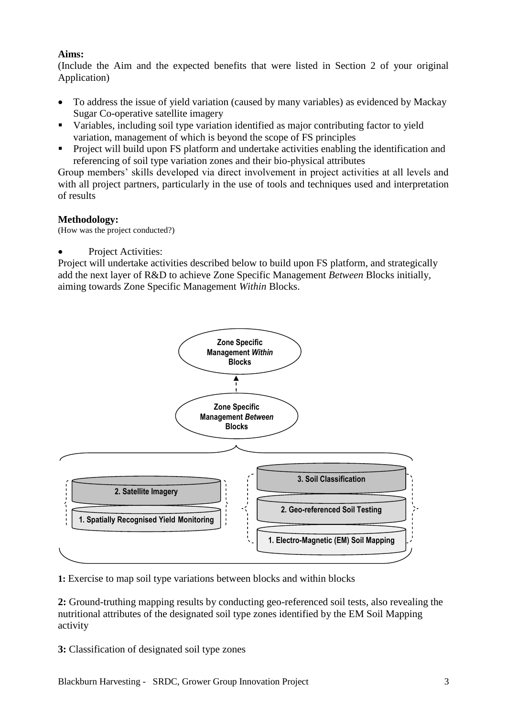# **Aims:**

(Include the Aim and the expected benefits that were listed in Section 2 of your original Application)

- To address the issue of yield variation (caused by many variables) as evidenced by Mackay Sugar Co-operative satellite imagery
- Variables, including soil type variation identified as major contributing factor to yield variation, management of which is beyond the scope of FS principles
- **Project will build upon FS platform and undertake activities enabling the identification and** referencing of soil type variation zones and their bio-physical attributes

Group members' skills developed via direct involvement in project activities at all levels and with all project partners, particularly in the use of tools and techniques used and interpretation of results

# **Methodology:**

(How was the project conducted?)

Project Activities:

Project will undertake activities described below to build upon FS platform, and strategically add the next layer of R&D to achieve Zone Specific Management *Between* Blocks initially, aiming towards Zone Specific Management *Within* Blocks.



**1:** Exercise to map soil type variations between blocks and within blocks

**2:** Ground-truthing mapping results by conducting geo-referenced soil tests, also revealing the nutritional attributes of the designated soil type zones identified by the EM Soil Mapping activity

**3:** Classification of designated soil type zones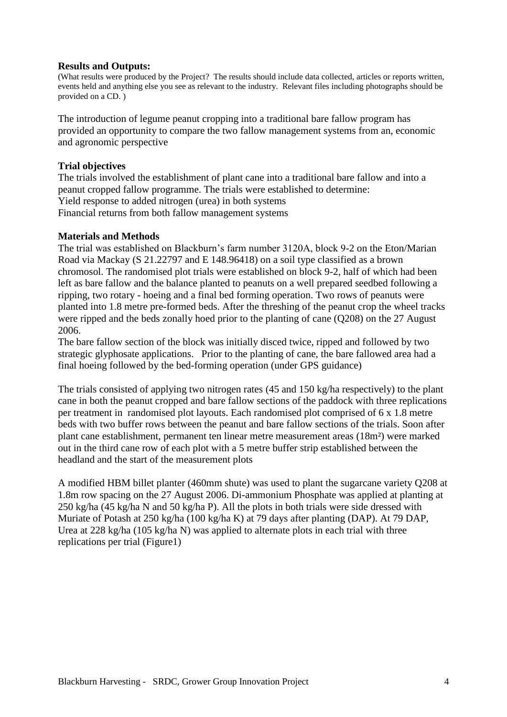## **Results and Outputs:**

(What results were produced by the Project? The results should include data collected, articles or reports written, events held and anything else you see as relevant to the industry. Relevant files including photographs should be provided on a CD. )

The introduction of legume peanut cropping into a traditional bare fallow program has provided an opportunity to compare the two fallow management systems from an, economic and agronomic perspective

## **Trial objectives**

The trials involved the establishment of plant cane into a traditional bare fallow and into a peanut cropped fallow programme. The trials were established to determine: Yield response to added nitrogen (urea) in both systems Financial returns from both fallow management systems

#### **Materials and Methods**

The trial was established on Blackburn's farm number 3120A, block 9-2 on the Eton/Marian Road via Mackay (S 21.22797 and E 148.96418) on a soil type classified as a brown chromosol. The randomised plot trials were established on block 9-2, half of which had been left as bare fallow and the balance planted to peanuts on a well prepared seedbed following a ripping, two rotary - hoeing and a final bed forming operation. Two rows of peanuts were planted into 1.8 metre pre-formed beds. After the threshing of the peanut crop the wheel tracks were ripped and the beds zonally hoed prior to the planting of cane (Q208) on the 27 August 2006.

The bare fallow section of the block was initially disced twice, ripped and followed by two strategic glyphosate applications. Prior to the planting of cane, the bare fallowed area had a final hoeing followed by the bed-forming operation (under GPS guidance)

The trials consisted of applying two nitrogen rates (45 and 150 kg/ha respectively) to the plant cane in both the peanut cropped and bare fallow sections of the paddock with three replications per treatment in randomised plot layouts. Each randomised plot comprised of 6 x 1.8 metre beds with two buffer rows between the peanut and bare fallow sections of the trials. Soon after plant cane establishment, permanent ten linear metre measurement areas (18m²) were marked out in the third cane row of each plot with a 5 metre buffer strip established between the headland and the start of the measurement plots

A modified HBM billet planter (460mm shute) was used to plant the sugarcane variety Q208 at 1.8m row spacing on the 27 August 2006. Di-ammonium Phosphate was applied at planting at 250 kg/ha (45 kg/ha N and 50 kg/ha P). All the plots in both trials were side dressed with Muriate of Potash at 250 kg/ha (100 kg/ha K) at 79 days after planting (DAP). At 79 DAP, Urea at 228 kg/ha (105 kg/ha N) was applied to alternate plots in each trial with three replications per trial (Figure1)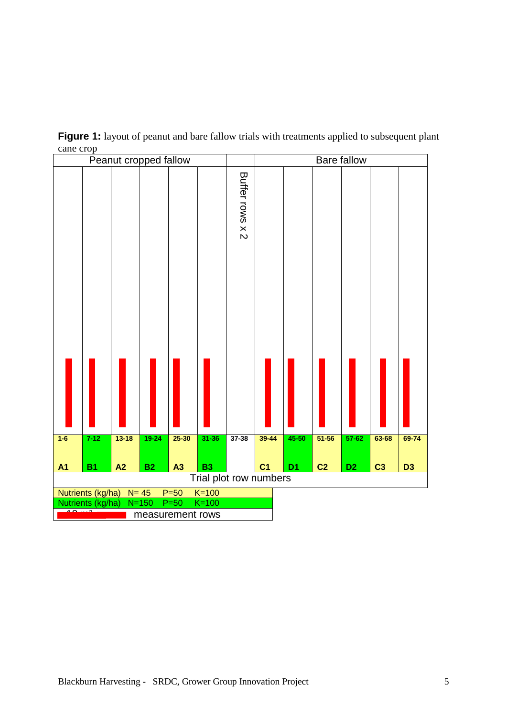

**Figure 1:** layout of peanut and bare fallow trials with treatments applied to subsequent plant cane crop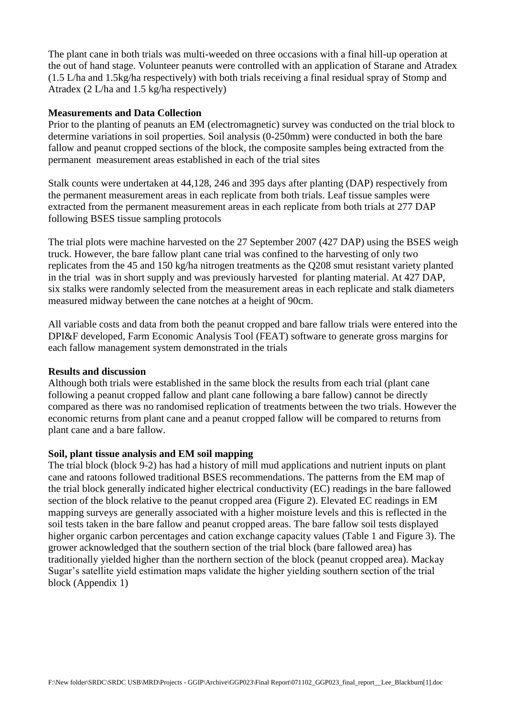The plant cane in both trials was multi-weeded on three occasions with a final hill-up operation at the out of hand stage. Volunteer peanuts were controlled with an application of Starane and Atradex (1.5 L/ha and 1.5kg/ha respectively) with both trials receiving a final residual spray of Stomp and Atradex (2 L/ha and 1.5 kg/ha respectively)

## **Measurements and Data Collection**

Prior to the planting of peanuts an EM (electromagnetic) survey was conducted on the trial block to determine variations in soil properties. Soil analysis (0-250mm) were conducted in both the bare fallow and peanut cropped sections of the block, the composite samples being extracted from the permanent measurement areas established in each of the trial sites

Stalk counts were undertaken at 44,128, 246 and 395 days after planting (DAP) respectively from the permanent measurement areas in each replicate from both trials. Leaf tissue samples were extracted from the permanent measurement areas in each replicate from both trials at 277 DAP following BSES tissue sampling protocols

The trial plots were machine harvested on the 27 September 2007 (427 DAP) using the BSES weigh truck. However, the bare fallow plant cane trial was confined to the harvesting of only two replicates from the 45 and 150 kg/ha nitrogen treatments as the Q208 smut resistant variety planted in the trial was in short supply and was previously harvested for planting material. At 427 DAP, six stalks were randomly selected from the measurement areas in each replicate and stalk diameters measured midway between the cane notches at a height of 90cm.

All variable costs and data from both the peanut cropped and bare fallow trials were entered into the DPI&F developed, Farm Economic Analysis Tool (FEAT) software to generate gross margins for each fallow management system demonstrated in the trials

#### **Results and discussion**

Although both trials were established in the same block the results from each trial (plant cane following a peanut cropped fallow and plant cane following a bare fallow) cannot be directly compared as there was no randomised replication of treatments between the two trials. However the economic returns from plant cane and a peanut cropped fallow will be compared to returns from plant cane and a bare fallow.

# **Soil, plant tissue analysis and EM soil mapping**

The trial block (block 9-2) has had a history of mill mud applications and nutrient inputs on plant cane and ratoons followed traditional BSES recommendations. The patterns from the EM map of the trial block generally indicated higher electrical conductivity (EC) readings in the bare fallowed section of the block relative to the peanut cropped area (Figure 2). Elevated EC readings in EM mapping surveys are generally associated with a higher moisture levels and this is reflected in the soil tests taken in the bare fallow and peanut cropped areas. The bare fallow soil tests displayed higher organic carbon percentages and cation exchange capacity values (Table 1 and Figure 3). The grower acknowledged that the southern section of the trial block (bare fallowed area) has traditionally yielded higher than the northern section of the block (peanut cropped area). Mackay Sugar's satellite yield estimation maps validate the higher yielding southern section of the trial block (Appendix 1)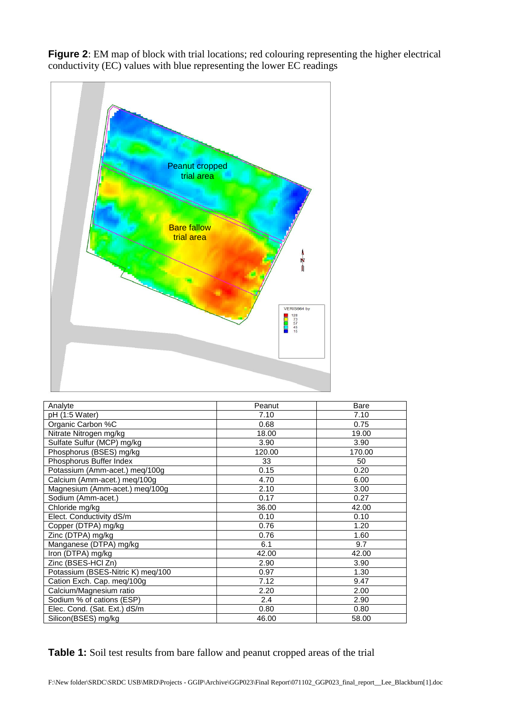**Figure 2**: EM map of block with trial locations; red colouring representing the higher electrical conductivity (EC) values with blue representing the lower EC readings



| Analyte                           | Peanut | Bare   |
|-----------------------------------|--------|--------|
| pH (1:5 Water)                    | 7.10   | 7.10   |
| Organic Carbon %C                 | 0.68   | 0.75   |
| Nitrate Nitrogen mg/kg            | 18.00  | 19.00  |
| Sulfate Sulfur (MCP) mg/kg        | 3.90   | 3.90   |
| Phosphorus (BSES) mg/kg           | 120.00 | 170.00 |
| Phosphorus Buffer Index           | 33     | 50     |
| Potassium (Amm-acet.) meg/100g    | 0.15   | 0.20   |
| Calcium (Amm-acet.) meq/100g      | 4.70   | 6.00   |
| Magnesium (Amm-acet.) meq/100g    | 2.10   | 3.00   |
| Sodium (Amm-acet.)                | 0.17   | 0.27   |
| Chloride mg/kg                    | 36.00  | 42.00  |
| Elect. Conductivity dS/m          | 0.10   | 0.10   |
| Copper (DTPA) mg/kg               | 0.76   | 1.20   |
| Zinc (DTPA) mg/kg                 | 0.76   | 1.60   |
| Manganese (DTPA) mg/kg            | 6.1    | 9.7    |
| Iron (DTPA) mg/kg                 | 42.00  | 42.00  |
| Zinc (BSES-HCl Zn)                | 2.90   | 3.90   |
| Potassium (BSES-Nitric K) meq/100 | 0.97   | 1.30   |
| Cation Exch. Cap. meq/100g        | 7.12   | 9.47   |
| Calcium/Magnesium ratio           | 2.20   | 2.00   |
| Sodium % of cations (ESP)         | 2.4    | 2.90   |
| Elec. Cond. (Sat. Ext.) dS/m      | 0.80   | 0.80   |
| Silicon(BSES) mg/kg               | 46.00  | 58.00  |

**Table 1:** Soil test results from bare fallow and peanut cropped areas of the trial

F:\New folder\SRDC\SRDC USB\MRD\Projects - GGIP\Archive\GGP023\Final Report\071102\_GGP023\_final\_report\_\_Lee\_Blackburn[1].doc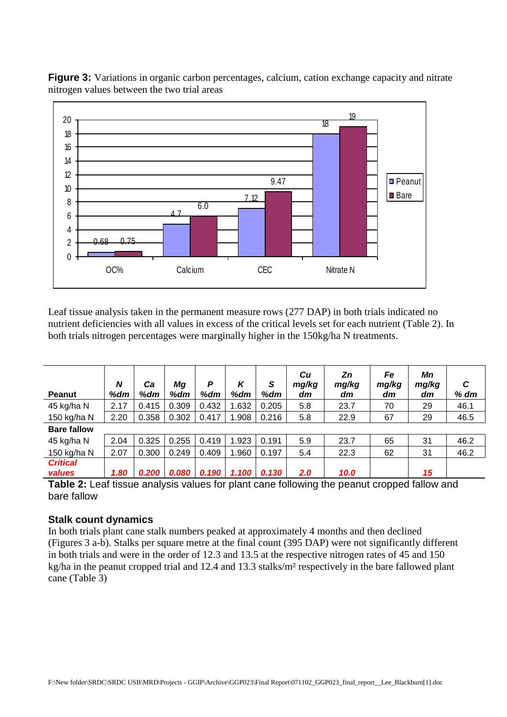

**Figure 3:** Variations in organic carbon percentages, calcium, cation exchange capacity and nitrate nitrogen values between the two trial areas

Leaf tissue analysis taken in the permanent measure rows (277 DAP) in both trials indicated no nutrient deficiencies with all values in excess of the critical levels set for each nutrient (Table 2). In both trials nitrogen percentages were marginally higher in the 150kg/ha N treatments.

| <b>Peanut</b>      | N<br>%dm | Сa<br>%dm | Mg<br>%dm | P<br>%dm | K<br>%dm | S<br>%dm | Cu<br>mg/kg<br>dm | Zn<br>mg/kg<br>dm | Fe<br>mg/kg<br>dm | Mn<br>mg/kg<br>dm | C<br>$%$ dm |
|--------------------|----------|-----------|-----------|----------|----------|----------|-------------------|-------------------|-------------------|-------------------|-------------|
| 45 kg/ha N         | 2.17     | 0.415     | 0.309     | 0.432    | 1.632    | 0.205    | 5.8               | 23.7              | 70                | 29                | 46.1        |
| 150 kg/ha N        | 2.20     | 0.358     | 0.302     | 0.417    | 1.908    | 0.216    | 5.8               | 22.9              | 67                | 29                | 46.5        |
| <b>Bare fallow</b> |          |           |           |          |          |          |                   |                   |                   |                   |             |
| 45 kg/ha N         | 2.04     | 0.325     | 0.255     | 0.419    | 1.923    | 0.191    | 5.9               | 23.7              | 65                | 31                | 46.2        |
| 150 kg/ha N        | 2.07     | 0.300     | 0.249     | 0.409    | 1.960    | 0.197    | 5.4               | 22.3              | 62                | 31                | 46.2        |
| <b>Critical</b>    |          |           |           |          |          |          |                   |                   |                   |                   |             |
| values             | 1.80     | 0.200     | 0.080     | 0.190    | 1.100    | 0.130    | 2.0               | 10.0              |                   | 15                |             |

**Table 2:** Leaf tissue analysis values for plant cane following the peanut cropped fallow and bare fallow

# **Stalk count dynamics**

In both trials plant cane stalk numbers peaked at approximately 4 months and then declined (Figures 3 a-b). Stalks per square metre at the final count (395 DAP) were not significantly different in both trials and were in the order of 12.3 and 13.5 at the respective nitrogen rates of 45 and 150 kg/ha in the peanut cropped trial and 12.4 and 13.3 stalks/m² respectively in the bare fallowed plant cane (Table 3)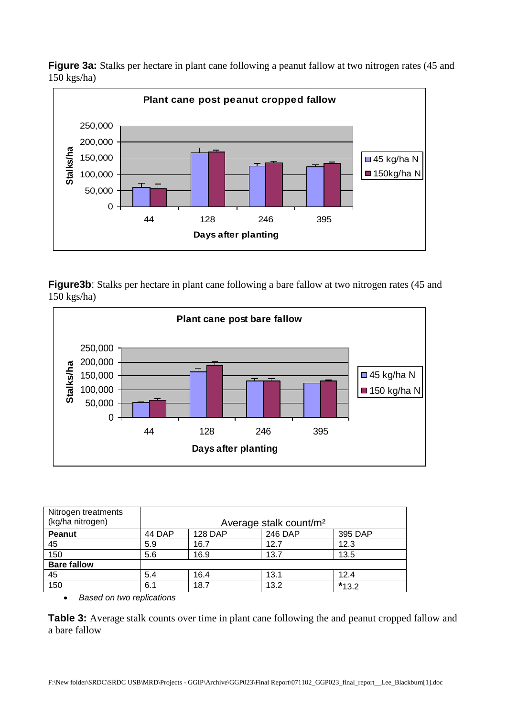**Figure 3a:** Stalks per hectare in plant cane following a peanut fallow at two nitrogen rates (45 and 150 kgs/ha)



**Figure3b**: Stalks per hectare in plant cane following a bare fallow at two nitrogen rates (45 and 150 kgs/ha)



| Nitrogen treatments<br>(kg/ha nitrogen) | Average stalk count/m <sup>2</sup> |                                      |      |         |  |  |  |  |  |
|-----------------------------------------|------------------------------------|--------------------------------------|------|---------|--|--|--|--|--|
| <b>Peanut</b>                           | 44 DAP                             | 246 DAP<br><b>128 DAP</b><br>395 DAP |      |         |  |  |  |  |  |
| 45                                      | 5.9                                | 16.7                                 | 12.7 | 12.3    |  |  |  |  |  |
| 150                                     | 5.6                                | 16.9                                 | 13.7 | 13.5    |  |  |  |  |  |
| <b>Bare fallow</b>                      |                                    |                                      |      |         |  |  |  |  |  |
| 45                                      | 5.4                                | 16.4                                 | 13.1 | 12.4    |  |  |  |  |  |
| 150                                     | 6.1                                | 18.7                                 | 13.2 | $*13.2$ |  |  |  |  |  |

*Based on two replications*

**Table 3:** Average stalk counts over time in plant cane following the and peanut cropped fallow and a bare fallow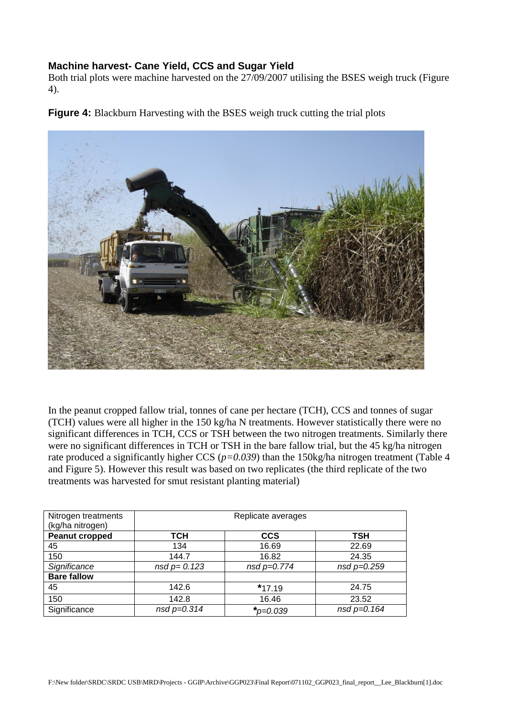# **Machine harvest- Cane Yield, CCS and Sugar Yield**

Both trial plots were machine harvested on the 27/09/2007 utilising the BSES weigh truck (Figure 4).

**Figure 4:** Blackburn Harvesting with the BSES weigh truck cutting the trial plots



In the peanut cropped fallow trial, tonnes of cane per hectare (TCH), CCS and tonnes of sugar (TCH) values were all higher in the 150 kg/ha N treatments. However statistically there were no significant differences in TCH, CCS or TSH between the two nitrogen treatments. Similarly there were no significant differences in TCH or TSH in the bare fallow trial, but the 45 kg/ha nitrogen rate produced a significantly higher CCS (*p=0.039*) than the 150kg/ha nitrogen treatment (Table 4 and Figure 5). However this result was based on two replicates (the third replicate of the two treatments was harvested for smut resistant planting material)

| Nitrogen treatments<br>(kg/ha nitrogen) | Replicate averages                                  |                   |             |  |  |  |  |  |  |
|-----------------------------------------|-----------------------------------------------------|-------------------|-------------|--|--|--|--|--|--|
| <b>Peanut cropped</b>                   | TCH                                                 | <b>CCS</b>        | TSH         |  |  |  |  |  |  |
| 45                                      | 134                                                 | 16.69             | 22.69       |  |  |  |  |  |  |
| 150                                     | 144.7                                               | 16.82             | 24.35       |  |  |  |  |  |  |
| Significance                            | $nsd p=0.774$<br>$nsd p = 0.259$<br>$nsd p = 0.123$ |                   |             |  |  |  |  |  |  |
| <b>Bare fallow</b>                      |                                                     |                   |             |  |  |  |  |  |  |
| 45                                      | 142.6                                               | $*17.19$          | 24.75       |  |  |  |  |  |  |
| 150                                     | 142.8                                               | 16.46             | 23.52       |  |  |  |  |  |  |
| Significance                            | $nsd p = 0.314$                                     | $\star_{p=0.039}$ | nsd p=0.164 |  |  |  |  |  |  |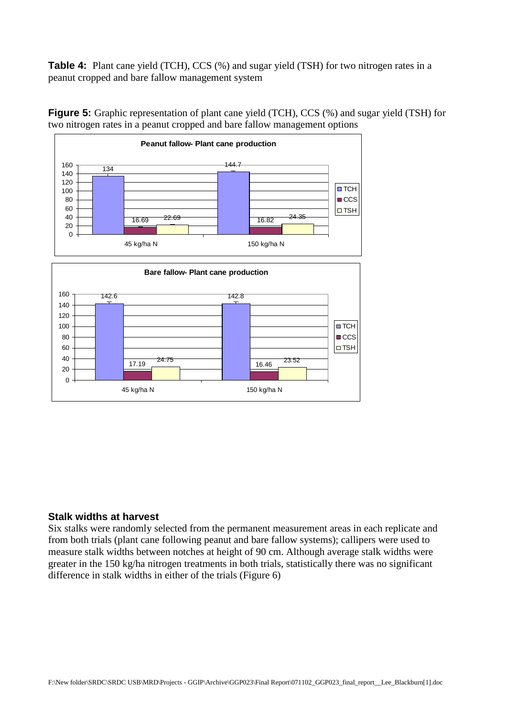**Table 4:** Plant cane yield (TCH), CCS (%) and sugar yield (TSH) for two nitrogen rates in a peanut cropped and bare fallow management system



**Figure 5:** Graphic representation of plant cane yield (TCH), CCS (%) and sugar yield (TSH) for two nitrogen rates in a peanut cropped and bare fallow management options

# **Stalk widths at harvest**

Six stalks were randomly selected from the permanent measurement areas in each replicate and from both trials (plant cane following peanut and bare fallow systems); callipers were used to measure stalk widths between notches at height of 90 cm. Although average stalk widths were greater in the 150 kg/ha nitrogen treatments in both trials, statistically there was no significant difference in stalk widths in either of the trials (Figure 6)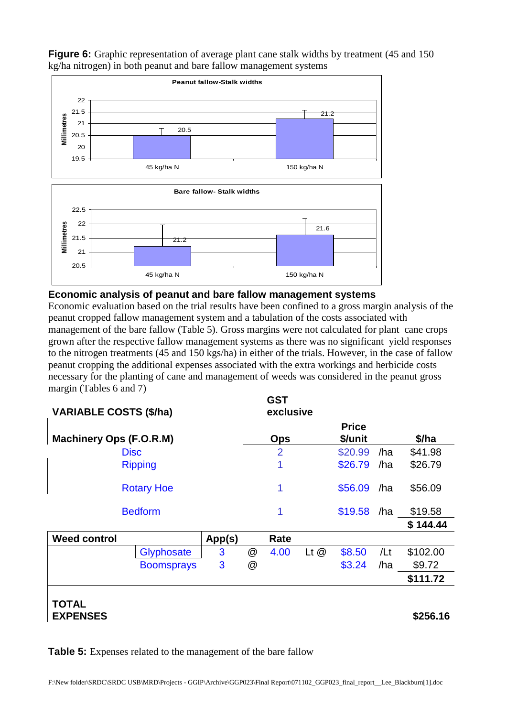

**Figure 6:** Graphic representation of average plant cane stalk widths by treatment (45 and 150) kg/ha nitrogen) in both peanut and bare fallow management systems

# **Economic analysis of peanut and bare fallow management systems**

Economic evaluation based on the trial results have been confined to a gross margin analysis of the peanut cropped fallow management system and a tabulation of the costs associated with management of the bare fallow (Table 5). Gross margins were not calculated for plant cane crops grown after the respective fallow management systems as there was no significant yield responses to the nitrogen treatments (45 and 150 kgs/ha) in either of the trials. However, in the case of fallow peanut cropping the additional expenses associated with the extra workings and herbicide costs necessary for the planting of cane and management of weeds was considered in the peanut gross margin (Tables 6 and 7)

| <b>VARIABLE COSTS (\$/ha)</b>  |                   | <b>GST</b><br>exclusive |                 |      |                         |         |         |          |
|--------------------------------|-------------------|-------------------------|-----------------|------|-------------------------|---------|---------|----------|
| <b>Machinery Ops (F.O.R.M)</b> |                   |                         | <b>Ops</b>      |      | <b>Price</b><br>\$/unit |         | \$/ha   |          |
| <b>Disc</b>                    |                   |                         | $\overline{2}$  |      | \$20.99                 | /ha     | \$41.98 |          |
|                                | <b>Ripping</b>    |                         |                 | 1    |                         | \$26.79 | /ha     | \$26.79  |
| <b>Rotary Hoe</b>              |                   |                         |                 | 1    |                         | \$56.09 | /ha     | \$56.09  |
| <b>Bedform</b>                 |                   |                         |                 | 1    |                         | \$19.58 | /ha     | \$19.58  |
|                                |                   |                         |                 |      |                         |         |         | \$144.44 |
| <b>Weed control</b>            |                   | App(s)                  |                 | Rate |                         |         |         |          |
|                                | <b>Glyphosate</b> | 3                       | $^{\copyright}$ | 4.00 | $Lt$ $@$                | \$8.50  | /Lt     | \$102.00 |
|                                | <b>Boomsprays</b> | 3                       | @               |      |                         | \$3.24  | /ha     | \$9.72   |
|                                |                   |                         |                 |      |                         |         |         | \$111.72 |
| <b>TOTAL</b>                   |                   |                         |                 |      |                         |         |         |          |

**EXPENSES \$256.16** 

**Table 5:** Expenses related to the management of the bare fallow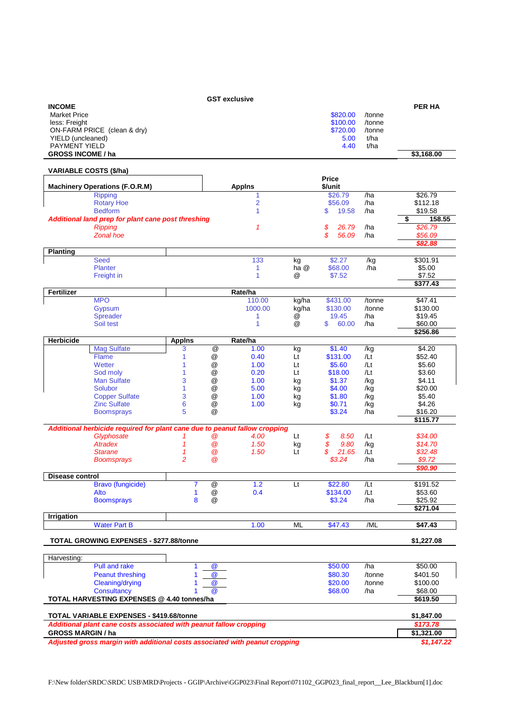|                                                                                                         |                |                            | <b>GST exclusive</b> |                |                      |                  |                          |
|---------------------------------------------------------------------------------------------------------|----------------|----------------------------|----------------------|----------------|----------------------|------------------|--------------------------|
| <b>INCOME</b>                                                                                           |                |                            |                      |                |                      |                  | <b>PER HA</b>            |
| <b>Market Price</b>                                                                                     |                |                            |                      |                | \$820.00             | /tonne           |                          |
| less: Freight                                                                                           |                |                            |                      |                | \$100.00             | /tonne           |                          |
| ON-FARM PRICE (clean & dry)                                                                             |                |                            |                      |                | \$720.00             | /tonne<br>t/ha   |                          |
| YIELD (uncleaned)<br><b>PAYMENT YIELD</b>                                                               |                |                            |                      |                | 5.00<br>4.40         | t/ha             |                          |
| <b>GROSS INCOME / ha</b>                                                                                |                |                            |                      |                |                      |                  | \$3,168.00               |
|                                                                                                         |                |                            |                      |                |                      |                  |                          |
| <b>VARIABLE COSTS (\$/ha)</b>                                                                           |                |                            |                      |                | Price                |                  |                          |
| <b>Machinery Operations (F.O.R.M)</b>                                                                   |                |                            | <b>Appins</b>        |                | \$/unit              |                  |                          |
| <b>Ripping</b><br><b>Rotary Hoe</b>                                                                     |                |                            | 1<br>2               |                | \$26.79<br>\$56.09   | /ha<br>/ha       | \$26.79<br>\$112.18      |
| <b>Bedform</b>                                                                                          |                |                            | 1                    |                | \$<br>19.58          | /ha              | \$19.58                  |
| Additional land prep for plant cane post threshing                                                      |                |                            |                      |                |                      |                  | \$<br>158.55             |
| <b>Ripping</b>                                                                                          |                |                            | 1                    |                | \$<br>26.79          | /ha              | \$26.79                  |
| <b>Zonal hoe</b>                                                                                        |                |                            |                      |                | \$<br>56.09          | /ha              | \$56.09                  |
| Planting                                                                                                |                |                            |                      |                |                      |                  | \$82.88                  |
| <b>Seed</b>                                                                                             |                |                            | 133                  | kg             | \$2.27               | /kg              | \$301.91                 |
| <b>Planter</b>                                                                                          |                |                            | 1                    | ha @           | \$68.00              | /ha              | \$5.00                   |
| Freight in                                                                                              |                |                            | 1                    | @              | \$7.52               |                  | \$7.52                   |
|                                                                                                         |                |                            |                      |                |                      |                  | \$377.43                 |
| <b>Fertilizer</b>                                                                                       |                |                            | Rate/ha<br>110.00    |                |                      |                  |                          |
| <b>MPO</b><br>Gypsum                                                                                    |                |                            | 1000.00              | kg/ha<br>kg/ha | \$431.00<br>\$130.00 | /tonne<br>/tonne | \$47.41<br>\$130.00      |
| Spreader                                                                                                |                |                            | 1                    | @              | 19.45                | /ha              | \$19.45                  |
| Soil test                                                                                               |                |                            | 1                    | @              | \$<br>60.00          | /ha              | \$60.00                  |
|                                                                                                         |                |                            |                      |                |                      |                  | \$256.86                 |
| Herbicide                                                                                               | <b>Appins</b>  |                            | Rate/ha              |                |                      |                  |                          |
| <b>Mag Sulfate</b><br><b>Flame</b>                                                                      | 3<br>1         | @<br>@                     | 1.00<br>0.40         | kg<br>Lt       | \$1.40<br>\$131.00   | /kg<br>$/$ Lt    | \$4.20<br>\$52.40        |
| Wetter                                                                                                  | 1              | $^{\circledR}$             | 1.00                 | Lt             | \$5.60               | $/$ Lt           | \$5.60                   |
| Sod moly                                                                                                | 1              | $^{\copyright}$            | 0.20                 | Lt             | \$18.00              | /Lt              | \$3.60                   |
| <b>Man Sulfate</b>                                                                                      | 3              | $^{\circledR}$             | 1.00                 | kg             | \$1.37               | /kg              | \$4.11                   |
| <b>Solubor</b>                                                                                          | 1              | $^{\copyright}$            | 5.00                 | kg             | \$4.00               | /kg              | \$20.00                  |
| <b>Copper Sulfate</b>                                                                                   | 3              | $^{\copyright}$            | 1.00                 | kg             | \$1.80               | /kg              | \$5.40                   |
| <b>Zinc Sulfate</b>                                                                                     | 6<br>5         | $^{\copyright}$<br>@       | 1.00                 | kg             | \$0.71               | /kg              | \$4.26                   |
| <b>Boomsprays</b>                                                                                       |                |                            |                      |                | \$3.24               | /ha              | \$16.20<br>\$115.77      |
| Additional herbicide required for plant cane due to peanut fallow cropping                              |                |                            |                      |                |                      |                  |                          |
| Glyphosate                                                                                              | 1              | $\circleda$                | 4.00                 | Lt             | \$<br>8.50           | /Lt              | \$34.00                  |
| <b>Atradex</b>                                                                                          | $\mathcal I$   | @                          | 1.50                 | kg             | \$<br>9.80           | /kg              | \$14.70                  |
| <b>Starane</b>                                                                                          | 1              | @                          | 1.50                 | Lt             | \$<br>21.65          | /Lt              | \$32.48                  |
| <b>Boomsprays</b>                                                                                       | $\overline{2}$ | @                          |                      |                | \$3.24               | /ha              | \$9.72<br>\$90.90        |
| Disease control                                                                                         |                |                            |                      |                |                      |                  |                          |
| Bravo (fungicide)                                                                                       | 7              | @                          | 1.2                  | Lt             | \$22.80              | /Lt              | \$191.52                 |
| Alto                                                                                                    | 1              | $^\text{\textregistered}$  | 0.4                  |                | \$134.00             | /Lt              | \$53.60                  |
| <b>Boomsprays</b>                                                                                       | 8              | @                          |                      |                | \$3.24               | /ha              | \$25.92<br>\$271.04      |
| <b>Irrigation</b>                                                                                       |                |                            |                      |                |                      |                  |                          |
| <b>Water Part B</b>                                                                                     |                |                            | 1.00                 | ML             | \$47.43              | /ML              | \$47.43                  |
| TOTAL GROWING EXPENSES - \$277.88/tonne                                                                 |                |                            |                      |                |                      |                  | \$1,227.08               |
|                                                                                                         |                |                            |                      |                |                      |                  |                          |
| Harvesting:                                                                                             |                |                            |                      |                |                      |                  |                          |
| Pull and rake<br><b>Peanut threshing</b>                                                                |                | $\circleda$<br>$\circleda$ |                      |                | \$50.00              | /ha<br>/tonne    | \$50.00<br>\$401.50      |
| Cleaning/drying                                                                                         |                | $\circleda$                |                      |                | \$80.30<br>\$20.00   | /tonne           | \$100.00                 |
| Consultancy                                                                                             |                | @                          |                      |                | \$68.00              | /ha              | \$68.00                  |
| TOTAL HARVESTING EXPENSES @ 4.40 tonnes/ha                                                              |                | \$619.50                   |                      |                |                      |                  |                          |
|                                                                                                         |                |                            |                      |                |                      |                  |                          |
| TOTAL VARIABLE EXPENSES - \$419.68/tonne                                                                | \$1,847.00     |                            |                      |                |                      |                  |                          |
| Additional plant cane costs associated with peanut fallow cropping                                      |                |                            |                      |                |                      |                  | \$173.78                 |
| <b>GROSS MARGIN / ha</b><br>Adjusted gross margin with additional costs associated with peanut cropping |                |                            |                      |                |                      |                  | \$1,321.00<br>\$1,147.22 |
|                                                                                                         |                |                            |                      |                |                      |                  |                          |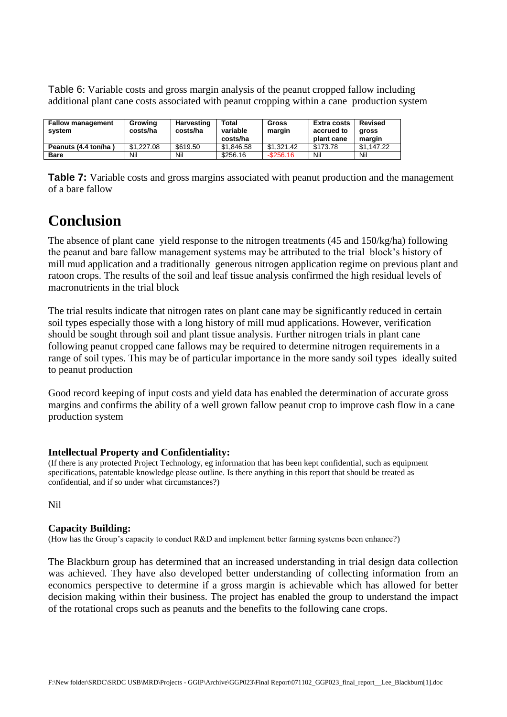Table 6: Variable costs and gross margin analysis of the peanut cropped fallow including additional plant cane costs associated with peanut cropping within a cane production system

| <b>Fallow management</b><br>svstem | Growing<br>costs/ha | Harvesting<br>costs/ha | Total<br>variable<br>costs/ha | Gross<br>margin | <b>Extra costs</b><br>accrued to<br>plant cane | <b>Revised</b><br>aross<br>margin |
|------------------------------------|---------------------|------------------------|-------------------------------|-----------------|------------------------------------------------|-----------------------------------|
| Peanuts (4.4 ton/ha)               | \$1,227.08          | \$619.50               | \$1.846.58                    | \$1.321.42      | \$173.78                                       | \$1.147.22                        |
| <b>Bare</b>                        | Nil                 | Nil                    | \$256.16                      | $-$ \$256.16    | Nil                                            | Nil                               |

**Table 7:** Variable costs and gross margins associated with peanut production and the management of a bare fallow

# **Conclusion**

The absence of plant cane yield response to the nitrogen treatments (45 and 150/kg/ha) following the peanut and bare fallow management systems may be attributed to the trial block's history of mill mud application and a traditionally generous nitrogen application regime on previous plant and ratoon crops. The results of the soil and leaf tissue analysis confirmed the high residual levels of macronutrients in the trial block

The trial results indicate that nitrogen rates on plant cane may be significantly reduced in certain soil types especially those with a long history of mill mud applications. However, verification should be sought through soil and plant tissue analysis. Further nitrogen trials in plant cane following peanut cropped cane fallows may be required to determine nitrogen requirements in a range of soil types. This may be of particular importance in the more sandy soil types ideally suited to peanut production

Good record keeping of input costs and yield data has enabled the determination of accurate gross margins and confirms the ability of a well grown fallow peanut crop to improve cash flow in a cane production system

# **Intellectual Property and Confidentiality:**

(If there is any protected Project Technology, eg information that has been kept confidential, such as equipment specifications, patentable knowledge please outline. Is there anything in this report that should be treated as confidential, and if so under what circumstances?)

Nil

# **Capacity Building:**

(How has the Group's capacity to conduct R&D and implement better farming systems been enhance?)

The Blackburn group has determined that an increased understanding in trial design data collection was achieved. They have also developed better understanding of collecting information from an economics perspective to determine if a gross margin is achievable which has allowed for better decision making within their business. The project has enabled the group to understand the impact of the rotational crops such as peanuts and the benefits to the following cane crops.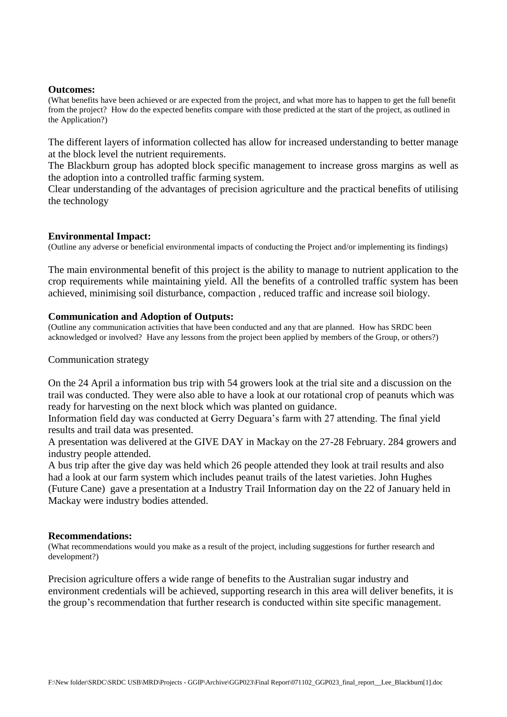#### **Outcomes:**

(What benefits have been achieved or are expected from the project, and what more has to happen to get the full benefit from the project? How do the expected benefits compare with those predicted at the start of the project, as outlined in the Application?)

The different layers of information collected has allow for increased understanding to better manage at the block level the nutrient requirements.

The Blackburn group has adopted block specific management to increase gross margins as well as the adoption into a controlled traffic farming system.

Clear understanding of the advantages of precision agriculture and the practical benefits of utilising the technology

#### **Environmental Impact:**

(Outline any adverse or beneficial environmental impacts of conducting the Project and/or implementing its findings)

The main environmental benefit of this project is the ability to manage to nutrient application to the crop requirements while maintaining yield. All the benefits of a controlled traffic system has been achieved, minimising soil disturbance, compaction , reduced traffic and increase soil biology.

#### **Communication and Adoption of Outputs:**

(Outline any communication activities that have been conducted and any that are planned. How has SRDC been acknowledged or involved? Have any lessons from the project been applied by members of the Group, or others?)

#### Communication strategy

On the 24 April a information bus trip with 54 growers look at the trial site and a discussion on the trail was conducted. They were also able to have a look at our rotational crop of peanuts which was ready for harvesting on the next block which was planted on guidance.

Information field day was conducted at Gerry Deguara's farm with 27 attending. The final yield results and trail data was presented.

A presentation was delivered at the GIVE DAY in Mackay on the 27-28 February. 284 growers and industry people attended.

A bus trip after the give day was held which 26 people attended they look at trail results and also had a look at our farm system which includes peanut trails of the latest varieties. John Hughes (Future Cane) gave a presentation at a Industry Trail Information day on the 22 of January held in Mackay were industry bodies attended.

#### **Recommendations:**

(What recommendations would you make as a result of the project, including suggestions for further research and development?)

Precision agriculture offers a wide range of benefits to the Australian sugar industry and environment credentials will be achieved, supporting research in this area will deliver benefits, it is the group's recommendation that further research is conducted within site specific management.